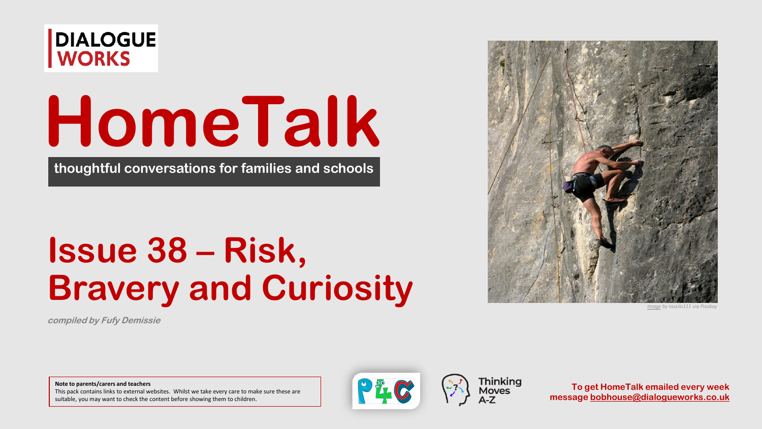

## **HomeTalk**

**thoughtful conversations for families and schools**

## **Issue 38 – Risk, Bravery and Curiosity**



*[Image](https://pixabay.com/photos/rock-climbing-altm%C3%BChl-valley-646367/) by tassilo111 via Pixabay*

**compiled by Fufy Demissie**

**Note to parents/carers and teachers**

This pack contains links to external websites. Whilst we take every care to make sure these are suitable, you may want to check the content before showing them to children.



**Thinking**<br>Moves

**To get HomeTalk emailed every week message [bobhouse@dialogueworks.co.uk](mailto:bobhouse@dialogueworks.co.uk?subject=HomeTalk%20sign-up)**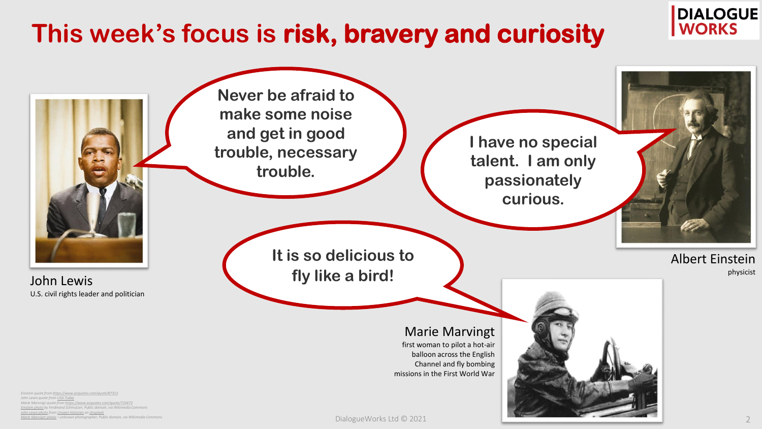#### **This week's focus is risk, bravery and curiosity**



*[Marie Marvignt](https://commons.wikimedia.org/wiki/File:Marie_Marvingt_in_Deperdussin_aeroplane_1912.jpg) photo – unknown photographer, Public domain, via Wikimedia Commons*

**DIALOGUE** 

**WORKS**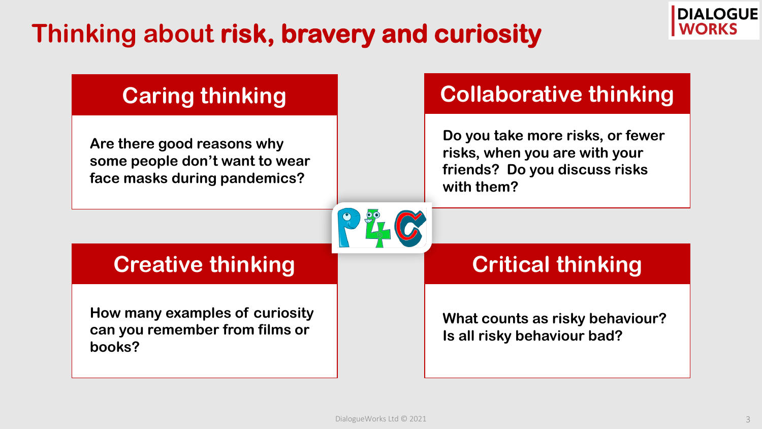## **Thinking about risk, bravery and curiosity**

#### **Caring thinking**

**Are there good reasons why some people don't want to wear face masks during pandemics?**

#### **Collaborative thinking**

**Do you take more risks, or fewer risks, when you are with your friends? Do you discuss risks with them?**

#### **Creative thinking**

**How many examples of curiosity can you remember from films or books?**

**What counts as risky behaviour? Is all risky behaviour bad?**

**Critical thinking**

**DIALOGUE** 

**WORKS**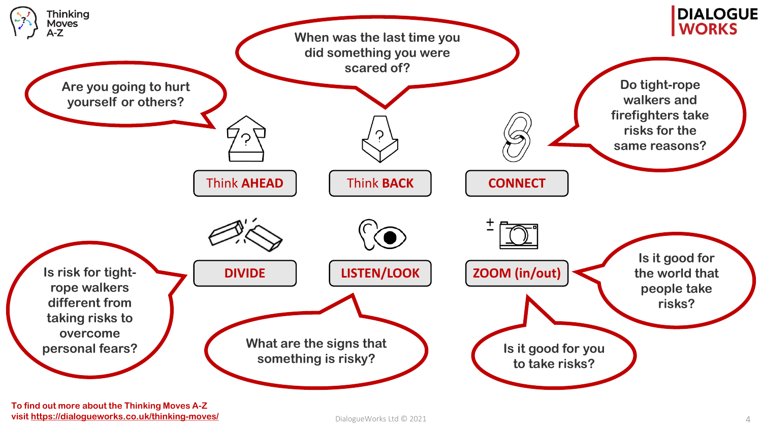

**To find out more about the Thinking Moves A-Z visit<https://dialogueworks.co.uk/thinking-moves/>** 4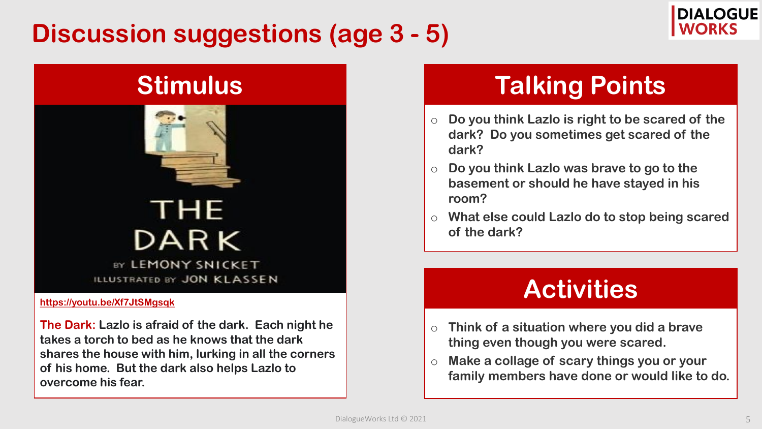## **Discussion suggestions (age 3 - 5)**



#### **Stimulus**



## **THE DARK**

**EY LEMONY SNICKET**<br>ILLUSTRATED BY JON KLASSEN

#### **<https://youtu.be/Xf7JtSMgsqk>**

**The Dark: Lazlo is afraid of the dark. Each night he takes a torch to bed as he knows that the dark shares the house with him, lurking in all the corners of his home. But the dark also helps Lazlo to overcome his fear.**

### **Talking Points**

- o **Do you think Lazlo is right to be scared of the dark? Do you sometimes get scared of the dark?**
- o **Do you think Lazlo was brave to go to the basement or should he have stayed in his room?**
- What else could Lazlo do to stop being scared **of the dark?**

#### **Activities**

- o **Think of a situation where you did a brave thing even though you were scared.**
- o **Make a collage of scary things you or your family members have done or would like to do.**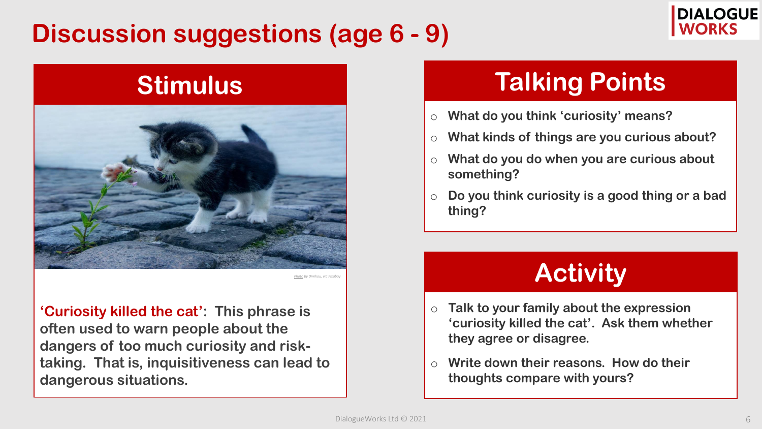## **Discussion suggestions (age 6 - 9)**



#### **Stimulus**



*[Photo](https://pixabay.com/photos/cat-flower-kitten-stone-pet-2536662/) by Dimhou, via Pixabay*

**'Curiosity killed the cat': This phrase is often used to warn people about the dangers of too much curiosity and risktaking. That is, inquisitiveness can lead to dangerous situations.**

#### **Talking Points**

- o **What do you think 'curiosity' means?**
- o **What kinds of things are you curious about?**
- What do you do when you are curious about **something?**
- Do you think curiosity is a good thing or a bad **thing?**

## **Activity**

- o **Talk to your family about the expression 'curiosity killed the cat'. Ask them whether they agree or disagree.**
- o **Write down their reasons. How do their thoughts compare with yours?**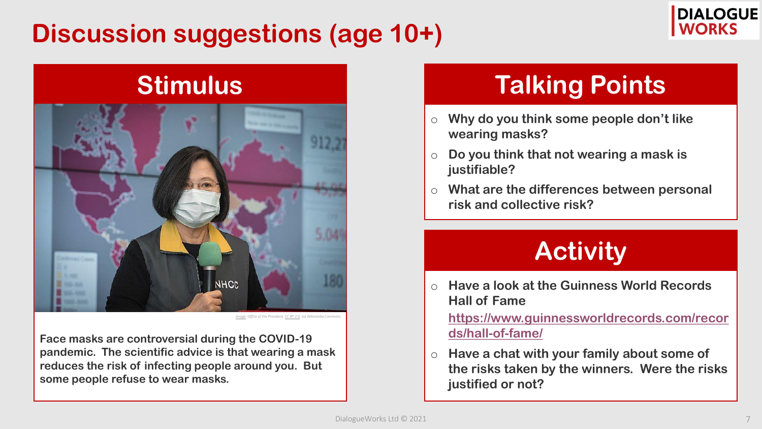## **Discussion suggestions (age 10+)**



# **Stimulus NHCC**

*[Image:](https://commons.wikimedia.org/wiki/File:04.02_%E7%B8%BD%E7%B5%B1%E8%A6%96%E5%AF%9F%E3%80%8C%E4%B8%AD%E5%A4%AE%E6%B5%81%E8%A1%8C%E7%96%AB%E6%83%85%E6%8C%87%E6%8F%AE%E4%B8%AD%E5%BF%83%E3%80%8D_49726568957_66543b616e_o.jpg)* Office of the President, *CC BY 2.0*, *via Wikimedia* 

**Face masks are controversial during the COVID-19 pandemic. The scientific advice is that wearing a mask reduces the risk of infecting people around you. But some people refuse to wear masks.**

## **Talking Points**

- o **Why do you think some people don't like wearing masks?**
- o **Do you think that not wearing a mask is justifiable?**
- o **What are the differences between personal risk and collective risk?**

## **Activity**

o **Have a look at the Guinness World Records Hall of Fame**

o **[https://www.guinnessworldrecords.com/recor](https://www.guinnessworldrecords.com/records/hall-of-fame/) ds/hall-of-fame/**

o **Have a chat with your family about some of the risks taken by the winners. Were the risks justified or not?**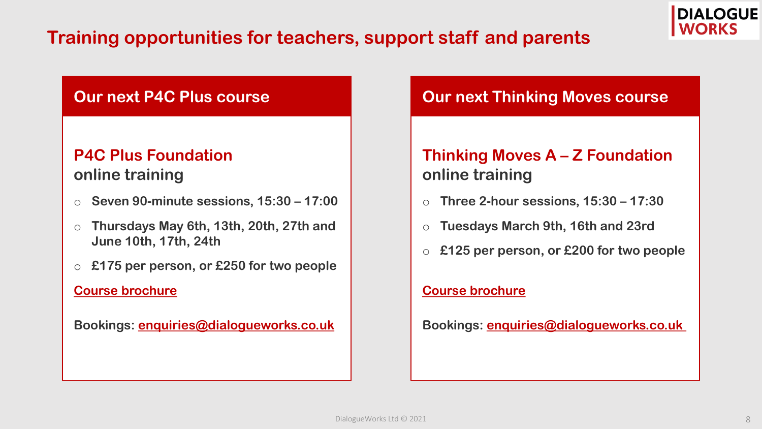#### **Training opportunities for teachers, support staff and parents**

#### **Our next P4C Plus course**

#### **P4C Plus Foundation**

#### **online training**

- o **Seven 90-minute sessions, 15:30 – 17:00**
- o **Thursdays May 6th, 13th, 20th, 27th and June 10th, 17th, 24th**
- o **£175 per person, or £250 for two people**

#### **[Course brochure](https://dialogueworks.co.uk/wp-content/uploads/2021/01/P4C-Plus-online-training-generic.pdf)**

#### **Bookings: [enquiries@dialogueworks.co.uk](mailto:enquiries@dialogueworks.co.uk?subject=P4C%20Plus%20course%20enquiry)**

#### **Our next Thinking Moves course**

#### **Thinking Moves A – Z Foundation online training**

- o **Three 2-hour sessions, 15:30 – 17:30**
- o **Tuesdays March 9th, 16th and 23rd**
- o **£125 per person, or £200 for two people**

#### **[Course brochure](https://dialogueworks.co.uk/wp-content/uploads/2020/08/Thinking-Moves-flyer-generic-2020.pdf)**

**Bookings: [enquiries@dialogueworks.co.uk](mailto:enquiries@dialogueworks.co.uk?subject=Thinking%20Moves%20course%20enquiry)**

**DIALOGUE**